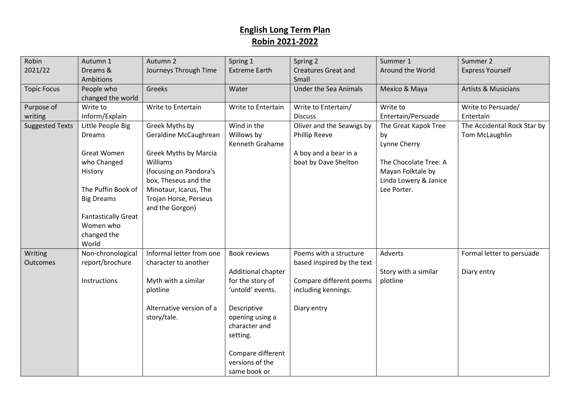| Robin                  | Autumn 1                   | Autumn 2                 | Spring 1                             | Spring 2                     | Summer 1              | Summer 2                       |
|------------------------|----------------------------|--------------------------|--------------------------------------|------------------------------|-----------------------|--------------------------------|
| 2021/22                | Dreams &                   | Journeys Through Time    | <b>Extreme Earth</b>                 | <b>Creatures Great and</b>   | Around the World      | <b>Express Yourself</b>        |
|                        | Ambitions                  |                          |                                      | Small                        |                       |                                |
| <b>Topic Focus</b>     | People who                 | Greeks                   | Water                                | <b>Under the Sea Animals</b> | Mexico & Maya         | <b>Artists &amp; Musicians</b> |
|                        | changed the world          |                          |                                      |                              |                       |                                |
| Purpose of             | Write to                   | Write to Entertain       | Write to Entertain                   | Write to Entertain/          | Write to              | Write to Persuade/             |
| writing                | Inform/Explain             |                          |                                      | <b>Discuss</b>               | Entertain/Persuade    | Entertain                      |
| <b>Suggested Texts</b> | Little People Big          | Greek Myths by           | Wind in the                          | Oliver and the Seawigs by    | The Great Kapok Tree  | The Accidental Rock Star by    |
|                        | Dreams                     | Geraldine McCaughrean    | Willows by                           | <b>Phillip Reeve</b>         | by                    | Tom McLaughlin                 |
|                        |                            |                          | Kenneth Grahame                      |                              | Lynne Cherry          |                                |
|                        | <b>Great Women</b>         | Greek Myths by Marcia    |                                      | A boy and a bear in a        |                       |                                |
|                        | who Changed                | Williams                 |                                      | boat by Dave Shelton         | The Chocolate Tree: A |                                |
|                        | History                    | (focusing on Pandora's   |                                      |                              | Mayan Folktale by     |                                |
|                        |                            | box, Theseus and the     |                                      |                              | Linda Lowery & Janice |                                |
|                        | The Puffin Book of         | Minotaur, Icarus, The    |                                      |                              | Lee Porter.           |                                |
|                        | <b>Big Dreams</b>          | Trojan Horse, Perseus    |                                      |                              |                       |                                |
|                        |                            | and the Gorgon)          |                                      |                              |                       |                                |
|                        | <b>Fantastically Great</b> |                          |                                      |                              |                       |                                |
|                        | Women who                  |                          |                                      |                              |                       |                                |
|                        | changed the                |                          |                                      |                              |                       |                                |
|                        | World                      | Informal letter from one |                                      |                              |                       |                                |
| Writing                | Non-chronological          |                          | Book reviews                         | Poems with a structure       | Adverts               | Formal letter to persuade      |
| Outcomes               | report/brochure            | character to another     |                                      | based inspired by the text   |                       |                                |
|                        | Instructions               |                          | Additional chapter                   |                              | Story with a similar  | Diary entry                    |
|                        |                            | Myth with a similar      | for the story of<br>'untold' events. | Compare different poems      | plotline              |                                |
|                        |                            | plotline                 |                                      | including kennings.          |                       |                                |
|                        |                            | Alternative version of a | Descriptive                          | Diary entry                  |                       |                                |
|                        |                            | story/tale.              | opening using a                      |                              |                       |                                |
|                        |                            |                          | character and                        |                              |                       |                                |
|                        |                            |                          | setting.                             |                              |                       |                                |
|                        |                            |                          |                                      |                              |                       |                                |
|                        |                            |                          | Compare different                    |                              |                       |                                |
|                        |                            |                          | versions of the                      |                              |                       |                                |
|                        |                            |                          | same book or                         |                              |                       |                                |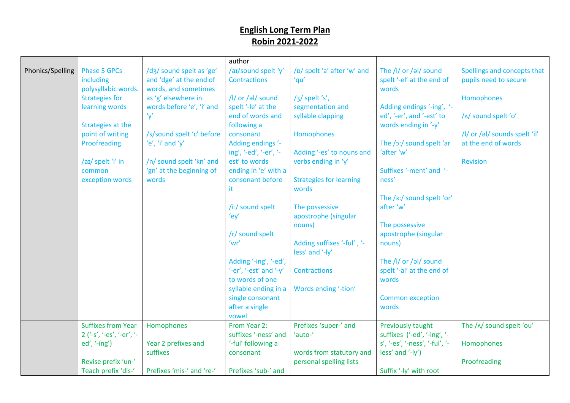|                  |                                  |                                                     | author                                     |                                     |                                                    |                                                      |
|------------------|----------------------------------|-----------------------------------------------------|--------------------------------------------|-------------------------------------|----------------------------------------------------|------------------------------------------------------|
| Phonics/Spelling | <b>Phase 5 GPCs</b><br>including | /d3/ sound spelt as 'ge'<br>and 'dge' at the end of | /aɪ/sound spelt 'y'<br><b>Contractions</b> | /p/ spelt 'a' after 'w' and<br>'qu' | The /l/ or /al/ sound<br>spelt '-el' at the end of | Spellings and concepts that<br>pupils need to secure |
|                  | polysyllabic words.              | words, and sometimes                                |                                            |                                     | words                                              |                                                      |
|                  | <b>Strategies for</b>            | as 'g' elsewhere in                                 | /l/ or /əl/ sound                          | /3/ spelt 's',                      |                                                    | Homophones                                           |
|                  | learning words                   | words before 'e', 'i' and                           | spelt '-le' at the                         | segmentation and                    | Adding endings '-ing', '-                          |                                                      |
|                  |                                  | 'y'                                                 | end of words and                           | syllable clapping                   | ed', '-er', and '-est' to                          | /^/ sound spelt 'o'                                  |
|                  | Strategies at the                |                                                     | following a                                |                                     | words ending in '-y'                               |                                                      |
|                  | point of writing                 | /s/sound spelt 'c' before                           | consonant                                  | Homophones                          |                                                    | /I/ or /al/ sounds spelt 'il'                        |
|                  | Proofreading                     | 'e', 'i' and 'y'                                    | Adding endings '-                          |                                     | The /ɔ:/ sound spelt 'ar                           | at the end of words                                  |
|                  |                                  |                                                     | ing', '-ed', '-er', '-                     | Adding '-es' to nouns and           | 'after 'w'                                         |                                                      |
|                  | /aɪ/ spelt 'i' in                | /n/ sound spelt 'kn' and                            | est' to words                              | verbs ending in 'y'                 |                                                    | <b>Revision</b>                                      |
|                  | common                           | 'gn' at the beginning of                            | ending in 'e' with a                       |                                     | Suffixes '-ment' and '-                            |                                                      |
|                  | exception words                  | words                                               | consonant before                           | <b>Strategies for learning</b>      | ness'                                              |                                                      |
|                  |                                  |                                                     | it.                                        | words                               |                                                    |                                                      |
|                  |                                  |                                                     |                                            |                                     | The /3:/ sound spelt 'or'                          |                                                      |
|                  |                                  |                                                     | /iː/ sound spelt                           | The possessive                      | after 'w'                                          |                                                      |
|                  |                                  |                                                     | 'ey'                                       | apostrophe (singular                |                                                    |                                                      |
|                  |                                  |                                                     |                                            | nouns)                              | The possessive                                     |                                                      |
|                  |                                  |                                                     | /r/ sound spelt                            |                                     | apostrophe (singular                               |                                                      |
|                  |                                  |                                                     | 'wr'                                       | Adding suffixes '-ful', '-          | nouns)                                             |                                                      |
|                  |                                  |                                                     |                                            | less' and '-ly'                     |                                                    |                                                      |
|                  |                                  |                                                     | Adding '-ing', '-ed',                      |                                     | The /l/ or /al/ sound                              |                                                      |
|                  |                                  |                                                     | '-er', '-est' and '- $y'$                  | <b>Contractions</b>                 | spelt '-al' at the end of                          |                                                      |
|                  |                                  |                                                     | to words of one                            |                                     | words                                              |                                                      |
|                  |                                  |                                                     | syllable ending in a                       | Words ending '-tion'                |                                                    |                                                      |
|                  |                                  |                                                     | single consonant                           |                                     | <b>Common exception</b>                            |                                                      |
|                  |                                  |                                                     | after a single                             |                                     | words                                              |                                                      |
|                  |                                  |                                                     | vowel                                      |                                     |                                                    |                                                      |
|                  | <b>Suffixes from Year</b>        | Homophones                                          | From Year 2:                               | Prefixes 'super-' and               | Previously taught                                  | The /^/ sound spelt 'ou'                             |
|                  | 2 ('-s', '-es', '-er', '-        |                                                     | suffixes '-ness' and                       | 'auto-'                             | suffixes ('-ed', '-ing', '-                        |                                                      |
|                  | $ed', '-ing')$                   | Year 2 prefixes and                                 | '-ful' following a                         |                                     | s', '-es', '-ness', '-ful', '-                     | Homophones                                           |
|                  |                                  | suffixes                                            | consonant                                  | words from statutory and            | less' and '-ly')                                   |                                                      |
|                  | Revise prefix 'un-'              |                                                     |                                            | personal spelling lists             |                                                    | Proofreading                                         |
|                  | Teach prefix 'dis-'              | Prefixes 'mis-' and 're-'                           | Prefixes 'sub-' and                        |                                     | Suffix '-ly' with root                             |                                                      |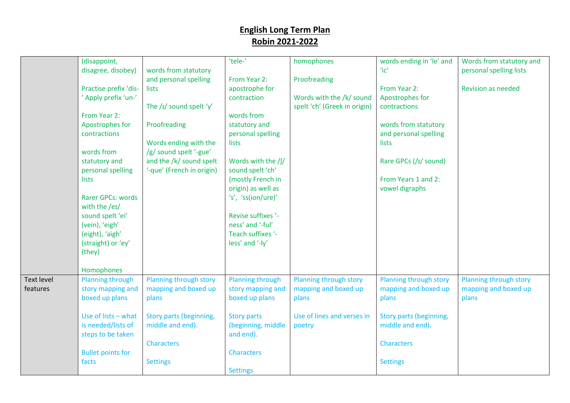|                   | (disappoint,                   |                           | 'tele-'                 | homophones                   | words ending in 'le' and | Words from statutory and  |
|-------------------|--------------------------------|---------------------------|-------------------------|------------------------------|--------------------------|---------------------------|
|                   | disagree, disobey)             | words from statutory      |                         |                              | $i$ c'                   | personal spelling lists   |
|                   |                                | and personal spelling     | From Year 2:            | Proofreading                 |                          |                           |
|                   | Practise prefix 'dis-          | lists                     | apostrophe for          |                              | From Year 2:             | <b>Revision as needed</b> |
|                   | ' Apply prefix 'un-'           |                           | contraction             | Words with the /k/ sound     | Apostrophes for          |                           |
|                   |                                | The $/I/$ sound spelt 'y' |                         | spelt 'ch' (Greek in origin) | contractions             |                           |
|                   | From Year 2:                   |                           | words from              |                              |                          |                           |
|                   | Apostrophes for                | Proofreading              | statutory and           |                              | words from statutory     |                           |
|                   | contractions                   |                           | personal spelling       |                              | and personal spelling    |                           |
|                   |                                | Words ending with the     | lists                   |                              | lists                    |                           |
|                   | words from                     | /g/ sound spelt '-gue'    |                         |                              |                          |                           |
|                   | statutory and                  | and the /k/ sound spelt   | Words with the /f/      |                              | Rare GPCs (/I/ sound)    |                           |
|                   | personal spelling              | '-que' (French in origin) | sound spelt 'ch'        |                              |                          |                           |
|                   | lists                          |                           | (mostly French in       |                              | From Years 1 and 2:      |                           |
|                   |                                |                           | origin) as well as      |                              | vowel digraphs           |                           |
|                   | <b>Rarer GPCs: words</b>       |                           | 's', 'ss(ion/ure)'      |                              |                          |                           |
|                   | with the /eɪ/                  |                           |                         |                              |                          |                           |
|                   | sound spelt 'ei'               |                           | Revise suffixes '-      |                              |                          |                           |
|                   | (vein), 'eigh'                 |                           | ness' and '-ful'        |                              |                          |                           |
|                   | (eight), 'aigh'                |                           | Teach suffixes '-       |                              |                          |                           |
|                   | (straight) or 'ey'             |                           | less' and '-ly'         |                              |                          |                           |
|                   | (they)                         |                           |                         |                              |                          |                           |
|                   |                                |                           |                         |                              |                          |                           |
| <b>Text level</b> | Homophones<br>Planning through | Planning through story    | <b>Planning through</b> | Planning through story       | Planning through story   | Planning through story    |
| features          | story mapping and              | mapping and boxed up      | story mapping and       | mapping and boxed up         | mapping and boxed up     | mapping and boxed up      |
|                   | boxed up plans                 | plans                     | boxed up plans          | plans                        | plans                    | plans                     |
|                   |                                |                           |                         |                              |                          |                           |
|                   | Use of lists - what            | Story parts (beginning,   | <b>Story parts</b>      | Use of lines and verses in   | Story parts (beginning,  |                           |
|                   | is needed/lists of             | middle and end).          | (beginning, middle      | poetry                       | middle and end).         |                           |
|                   | steps to be taken              |                           | and end).               |                              |                          |                           |
|                   |                                | <b>Characters</b>         |                         |                              | <b>Characters</b>        |                           |
|                   | <b>Bullet points for</b>       |                           | <b>Characters</b>       |                              |                          |                           |
|                   | facts                          | <b>Settings</b>           |                         |                              | <b>Settings</b>          |                           |
|                   |                                |                           | <b>Settings</b>         |                              |                          |                           |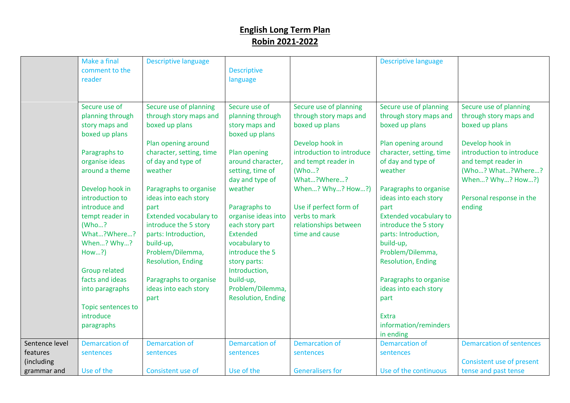| Secure use of<br>Secure use of planning<br>Secure use of<br>Secure use of planning<br>Secure use of planning<br>Secure use of planning<br>through story maps and<br>through story maps and<br>through story maps and<br>through story maps and<br>planning through<br>planning through<br>boxed up plans<br>boxed up plans<br>story maps and<br>story maps and<br>boxed up plans<br>boxed up plans<br>boxed up plans<br>boxed up plans<br>Plan opening around<br>Develop hook in<br>Plan opening around<br>Develop hook in<br>introduction to introduce<br>Paragraphs to<br>character, setting, time<br>Plan opening<br>character, setting, time<br>introduction to introduce<br>organise ideas<br>of day and type of<br>around character,<br>of day and type of<br>and tempt reader in<br>and tempt reader in<br>around a theme<br>weather<br>weather<br>setting, time of<br>(Who?<br>day and type of<br>What?Where?<br>When? Why? How?)<br>weather<br>Develop hook in<br>Paragraphs to organise<br>When? Why? How?)<br>Paragraphs to organise<br>introduction to<br>ideas into each story<br>ideas into each story<br>Personal response in the<br>introduce and<br>Use if perfect form of<br>Paragraphs to<br>ending<br>part<br>part<br>verbs to mark<br><b>Extended vocabulary to</b><br>organise ideas into<br><b>Extended vocabulary to</b><br>tempt reader in<br>(Who?<br>introduce the 5 story<br>each story part<br>relationships between<br>introduce the 5 story<br>What?Where?<br>parts: Introduction,<br><b>Extended</b><br>parts: Introduction,<br>time and cause<br>When? Why?<br>build-up,<br>build-up,<br>vocabulary to<br>How?)<br>Problem/Dilemma,<br>introduce the 5<br>Problem/Dilemma,<br><b>Resolution, Ending</b><br>story parts:<br><b>Resolution, Ending</b><br><b>Group related</b><br>Introduction,<br>facts and ideas<br>Paragraphs to organise<br>build-up,<br>Paragraphs to organise<br>Problem/Dilemma,<br>ideas into each story<br>ideas into each story<br>into paragraphs<br><b>Resolution, Ending</b><br>part<br>part<br>Topic sentences to<br>introduce<br>Extra<br>information/reminders<br>paragraphs<br>in ending<br>Sentence level<br><b>Demarcation of</b><br><b>Demarcation of</b><br><b>Demarcation of</b><br><b>Demarcation of</b><br><b>Demarcation of</b><br><b>Demarcation of sentences</b><br>features<br>sentences<br>sentences<br>sentences<br>sentences<br>sentences<br>(including<br>Consistent use of present | Make a final<br>comment to the<br>reader | <b>Descriptive language</b> | <b>Descriptive</b><br>language | <b>Descriptive language</b> |                   |
|--------------------------------------------------------------------------------------------------------------------------------------------------------------------------------------------------------------------------------------------------------------------------------------------------------------------------------------------------------------------------------------------------------------------------------------------------------------------------------------------------------------------------------------------------------------------------------------------------------------------------------------------------------------------------------------------------------------------------------------------------------------------------------------------------------------------------------------------------------------------------------------------------------------------------------------------------------------------------------------------------------------------------------------------------------------------------------------------------------------------------------------------------------------------------------------------------------------------------------------------------------------------------------------------------------------------------------------------------------------------------------------------------------------------------------------------------------------------------------------------------------------------------------------------------------------------------------------------------------------------------------------------------------------------------------------------------------------------------------------------------------------------------------------------------------------------------------------------------------------------------------------------------------------------------------------------------------------------------------------------------------------------------------------------------------------------------------------------------------------------------------------------------------------------------------------------------------------------------------------------------------------------------------------------------------------------------------------------------------------------------------------------------------------------------------------------------------------------|------------------------------------------|-----------------------------|--------------------------------|-----------------------------|-------------------|
|                                                                                                                                                                                                                                                                                                                                                                                                                                                                                                                                                                                                                                                                                                                                                                                                                                                                                                                                                                                                                                                                                                                                                                                                                                                                                                                                                                                                                                                                                                                                                                                                                                                                                                                                                                                                                                                                                                                                                                                                                                                                                                                                                                                                                                                                                                                                                                                                                                                                    |                                          |                             |                                |                             |                   |
|                                                                                                                                                                                                                                                                                                                                                                                                                                                                                                                                                                                                                                                                                                                                                                                                                                                                                                                                                                                                                                                                                                                                                                                                                                                                                                                                                                                                                                                                                                                                                                                                                                                                                                                                                                                                                                                                                                                                                                                                                                                                                                                                                                                                                                                                                                                                                                                                                                                                    |                                          |                             |                                |                             | (Who? What?Where? |
|                                                                                                                                                                                                                                                                                                                                                                                                                                                                                                                                                                                                                                                                                                                                                                                                                                                                                                                                                                                                                                                                                                                                                                                                                                                                                                                                                                                                                                                                                                                                                                                                                                                                                                                                                                                                                                                                                                                                                                                                                                                                                                                                                                                                                                                                                                                                                                                                                                                                    |                                          |                             |                                |                             |                   |
|                                                                                                                                                                                                                                                                                                                                                                                                                                                                                                                                                                                                                                                                                                                                                                                                                                                                                                                                                                                                                                                                                                                                                                                                                                                                                                                                                                                                                                                                                                                                                                                                                                                                                                                                                                                                                                                                                                                                                                                                                                                                                                                                                                                                                                                                                                                                                                                                                                                                    |                                          |                             |                                |                             |                   |
|                                                                                                                                                                                                                                                                                                                                                                                                                                                                                                                                                                                                                                                                                                                                                                                                                                                                                                                                                                                                                                                                                                                                                                                                                                                                                                                                                                                                                                                                                                                                                                                                                                                                                                                                                                                                                                                                                                                                                                                                                                                                                                                                                                                                                                                                                                                                                                                                                                                                    |                                          |                             |                                |                             |                   |
|                                                                                                                                                                                                                                                                                                                                                                                                                                                                                                                                                                                                                                                                                                                                                                                                                                                                                                                                                                                                                                                                                                                                                                                                                                                                                                                                                                                                                                                                                                                                                                                                                                                                                                                                                                                                                                                                                                                                                                                                                                                                                                                                                                                                                                                                                                                                                                                                                                                                    |                                          |                             |                                |                             |                   |
| <b>Generalisers for</b><br>Use of the<br>Consistent use of<br>Use of the<br>Use of the continuous<br>tense and past tense<br>grammar and                                                                                                                                                                                                                                                                                                                                                                                                                                                                                                                                                                                                                                                                                                                                                                                                                                                                                                                                                                                                                                                                                                                                                                                                                                                                                                                                                                                                                                                                                                                                                                                                                                                                                                                                                                                                                                                                                                                                                                                                                                                                                                                                                                                                                                                                                                                           |                                          |                             |                                |                             |                   |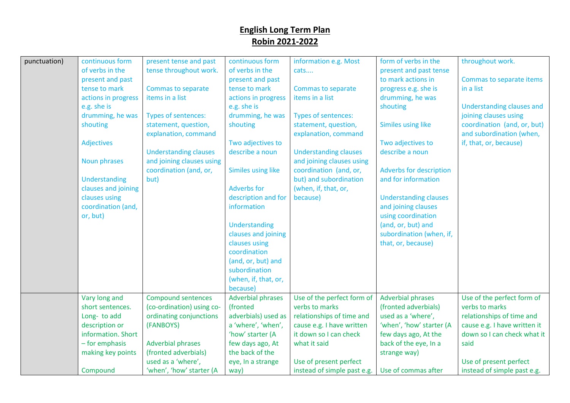| punctuation) | continuous form     | present tense and past       | continuous form           | information e.g. Most        | form of verbs in the           | throughout work.                 |
|--------------|---------------------|------------------------------|---------------------------|------------------------------|--------------------------------|----------------------------------|
|              | of verbs in the     | tense throughout work.       | of verbs in the           | cats                         | present and past tense         |                                  |
|              | present and past    |                              | present and past          |                              | to mark actions in             | Commas to separate items         |
|              | tense to mark       | <b>Commas to separate</b>    | tense to mark             | Commas to separate           | progress e.g. she is           | in a list                        |
|              | actions in progress | items in a list              | actions in progress       | items in a list              | drumming, he was               |                                  |
|              | e.g. she is         |                              | e.g. she is               |                              | shouting                       | <b>Understanding clauses and</b> |
|              | drumming, he was    | <b>Types of sentences:</b>   | drumming, he was          | Types of sentences:          |                                | joining clauses using            |
|              | shouting            | statement, question,         | shouting                  | statement, question,         | <b>Similes using like</b>      | coordination (and, or, but)      |
|              |                     | explanation, command         |                           | explanation, command         |                                | and subordination (when,         |
|              | <b>Adjectives</b>   |                              | Two adjectives to         |                              | Two adjectives to              | if, that, or, because)           |
|              |                     | <b>Understanding clauses</b> | describe a noun           | <b>Understanding clauses</b> | describe a noun                |                                  |
|              | <b>Noun phrases</b> | and joining clauses using    |                           | and joining clauses using    |                                |                                  |
|              |                     | coordination (and, or,       | <b>Similes using like</b> | coordination (and, or,       | <b>Adverbs for description</b> |                                  |
|              | Understanding       | but)                         |                           | but) and subordination       | and for information            |                                  |
|              | clauses and joining |                              | <b>Adverbs for</b>        | (when, if, that, or,         |                                |                                  |
|              | clauses using       |                              | description and for       | because)                     | <b>Understanding clauses</b>   |                                  |
|              | coordination (and,  |                              | information               |                              | and joining clauses            |                                  |
|              | or, but)            |                              |                           |                              | using coordination             |                                  |
|              |                     |                              | Understanding             |                              | (and, or, but) and             |                                  |
|              |                     |                              | clauses and joining       |                              | subordination (when, if,       |                                  |
|              |                     |                              | clauses using             |                              | that, or, because)             |                                  |
|              |                     |                              | coordination              |                              |                                |                                  |
|              |                     |                              | (and, or, but) and        |                              |                                |                                  |
|              |                     |                              | subordination             |                              |                                |                                  |
|              |                     |                              | (when, if, that, or,      |                              |                                |                                  |
|              |                     |                              | because)                  |                              |                                |                                  |
|              | Vary long and       | <b>Compound sentences</b>    | <b>Adverbial phrases</b>  | Use of the perfect form of   | <b>Adverbial phrases</b>       | Use of the perfect form of       |
|              | short sentences.    | (co-ordination) using co-    | (fronted                  | verbs to marks               | (fronted adverbials)           | verbs to marks                   |
|              | Long-to add         | ordinating conjunctions      | adverbials) used as       | relationships of time and    | used as a 'where',             | relationships of time and        |
|              | description or      | (FANBOYS)                    | a 'where', 'when',        | cause e.g. I have written    | 'when', 'how' starter (A       | cause e.g. I have written it     |
|              | information. Short  |                              | 'how' starter (A          | it down so I can check       | few days ago, At the           | down so I can check what it      |
|              | $-$ for emphasis    | <b>Adverbial phrases</b>     | few days ago, At          | what it said                 | back of the eye, In a          | said                             |
|              | making key points   | (fronted adverbials)         | the back of the           |                              | strange way)                   |                                  |
|              |                     | used as a 'where',           | eye, In a strange         | Use of present perfect       |                                | Use of present perfect           |
|              | Compound            | 'when', 'how' starter (A     | way)                      | instead of simple past e.g.  | Use of commas after            | instead of simple past e.g.      |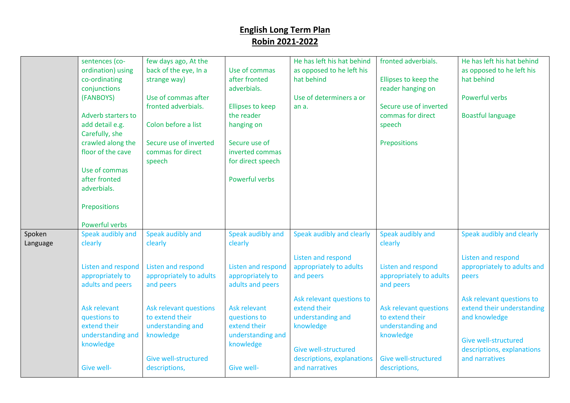|                    | sentences (co-<br>ordination) using<br>co-ordinating<br>conjunctions<br>(FANBOYS)<br>Adverb starters to<br>add detail e.g.<br>Carefully, she<br>crawled along the<br>floor of the cave<br>Use of commas<br>after fronted<br>adverbials.<br>Prepositions<br>Powerful verbs | few days ago, At the<br>back of the eye, In a<br>strange way)<br>Use of commas after<br>fronted adverbials.<br>Colon before a list<br>Secure use of inverted<br>commas for direct<br>speech                        | Use of commas<br>after fronted<br>adverbials.<br><b>Ellipses to keep</b><br>the reader<br>hanging on<br>Secure use of<br>inverted commas<br>for direct speech<br>Powerful verbs            | He has left his hat behind<br>as opposed to he left his<br>hat behind<br>Use of determiners a or<br>an a.                                                                                                                                             | fronted adverbials.<br>Ellipses to keep the<br>reader hanging on<br>Secure use of inverted<br>commas for direct<br>speech<br>Prepositions                                                                                        | He has left his hat behind<br>as opposed to he left his<br>hat behind<br>Powerful verbs<br><b>Boastful language</b>                                                                                                                         |
|--------------------|---------------------------------------------------------------------------------------------------------------------------------------------------------------------------------------------------------------------------------------------------------------------------|--------------------------------------------------------------------------------------------------------------------------------------------------------------------------------------------------------------------|--------------------------------------------------------------------------------------------------------------------------------------------------------------------------------------------|-------------------------------------------------------------------------------------------------------------------------------------------------------------------------------------------------------------------------------------------------------|----------------------------------------------------------------------------------------------------------------------------------------------------------------------------------------------------------------------------------|---------------------------------------------------------------------------------------------------------------------------------------------------------------------------------------------------------------------------------------------|
| Spoken<br>Language | Speak audibly and<br>clearly<br>Listen and respond<br>appropriately to<br>adults and peers<br>Ask relevant<br>questions to<br>extend their<br>understanding and<br>knowledge<br><b>Give well-</b>                                                                         | Speak audibly and<br>clearly<br>Listen and respond<br>appropriately to adults<br>and peers<br>Ask relevant questions<br>to extend their<br>understanding and<br>knowledge<br>Give well-structured<br>descriptions, | Speak audibly and<br>clearly<br>Listen and respond<br>appropriately to<br>adults and peers<br>Ask relevant<br>questions to<br>extend their<br>understanding and<br>knowledge<br>Give well- | Speak audibly and clearly<br>Listen and respond<br>appropriately to adults<br>and peers<br>Ask relevant questions to<br>extend their<br>understanding and<br>knowledge<br><b>Give well-structured</b><br>descriptions, explanations<br>and narratives | Speak audibly and<br>clearly<br><b>Listen and respond</b><br>appropriately to adults<br>and peers<br>Ask relevant questions<br>to extend their<br>understanding and<br>knowledge<br><b>Give well-structured</b><br>descriptions, | Speak audibly and clearly<br>Listen and respond<br>appropriately to adults and<br>peers<br>Ask relevant questions to<br>extend their understanding<br>and knowledge<br>Give well-structured<br>descriptions, explanations<br>and narratives |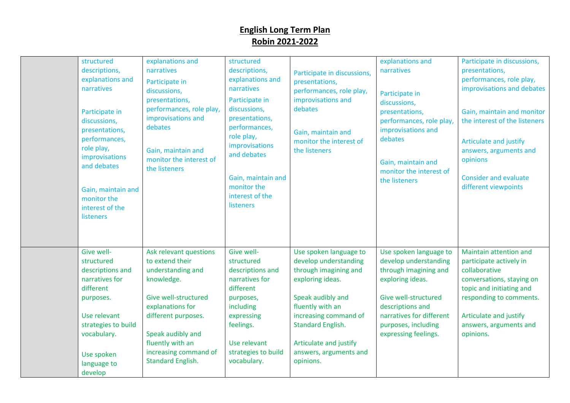| structured<br>descriptions,<br>explanations and<br>narratives<br>Participate in<br>discussions,<br>presentations,<br>performances,<br>role play,<br>improvisations<br>and debates<br>Gain, maintain and<br>monitor the<br>interest of the<br><b>listeners</b> | explanations and<br>narratives<br>Participate in<br>discussions,<br>presentations,<br>performances, role play,<br>improvisations and<br>debates<br>Gain, maintain and<br>monitor the interest of<br>the listeners                             | structured<br>descriptions,<br>explanations and<br>narratives<br>Participate in<br>discussions,<br>presentations,<br>performances,<br>role play,<br>improvisations<br>and debates<br>Gain, maintain and<br>monitor the<br>interest of the<br>listeners | Participate in discussions,<br>presentations,<br>performances, role play,<br>improvisations and<br>debates<br>Gain, maintain and<br>monitor the interest of<br>the listeners                                                                                | explanations and<br>narratives<br>Participate in<br>discussions,<br>presentations,<br>performances, role play,<br>improvisations and<br>debates<br>Gain, maintain and<br>monitor the interest of<br>the listeners   | Participate in discussions,<br>presentations,<br>performances, role play,<br>improvisations and debates<br>Gain, maintain and monitor<br>the interest of the listeners<br>Articulate and justify<br>answers, arguments and<br>opinions<br><b>Consider and evaluate</b><br>different viewpoints |
|---------------------------------------------------------------------------------------------------------------------------------------------------------------------------------------------------------------------------------------------------------------|-----------------------------------------------------------------------------------------------------------------------------------------------------------------------------------------------------------------------------------------------|--------------------------------------------------------------------------------------------------------------------------------------------------------------------------------------------------------------------------------------------------------|-------------------------------------------------------------------------------------------------------------------------------------------------------------------------------------------------------------------------------------------------------------|---------------------------------------------------------------------------------------------------------------------------------------------------------------------------------------------------------------------|------------------------------------------------------------------------------------------------------------------------------------------------------------------------------------------------------------------------------------------------------------------------------------------------|
| Give well-<br>structured<br>descriptions and<br>narratives for<br>different<br>purposes.<br>Use relevant<br>strategies to build<br>vocabulary.<br>Use spoken<br>language to<br>develop                                                                        | Ask relevant questions<br>to extend their<br>understanding and<br>knowledge.<br>Give well-structured<br>explanations for<br>different purposes.<br>Speak audibly and<br>fluently with an<br>increasing command of<br><b>Standard English.</b> | Give well-<br>structured<br>descriptions and<br>narratives for<br>different<br>purposes,<br>including<br>expressing<br>feelings.<br>Use relevant<br>strategies to build<br>vocabulary.                                                                 | Use spoken language to<br>develop understanding<br>through imagining and<br>exploring ideas.<br>Speak audibly and<br>fluently with an<br>increasing command of<br><b>Standard English.</b><br>Articulate and justify<br>answers, arguments and<br>opinions. | Use spoken language to<br>develop understanding<br>through imagining and<br>exploring ideas.<br>Give well-structured<br>descriptions and<br>narratives for different<br>purposes, including<br>expressing feelings. | Maintain attention and<br>participate actively in<br>collaborative<br>conversations, staying on<br>topic and initiating and<br>responding to comments.<br>Articulate and justify<br>answers, arguments and<br>opinions.                                                                        |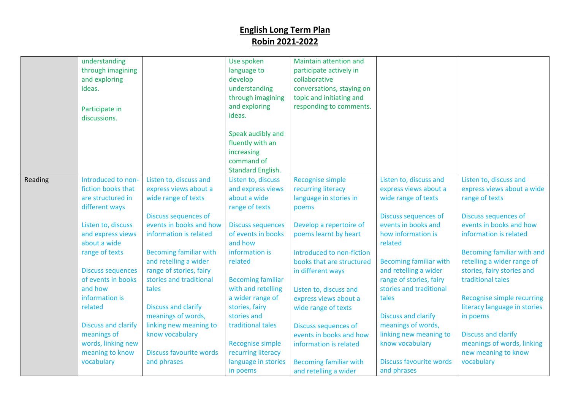|         | understanding<br>through imagining<br>and exploring<br>ideas.<br>Participate in<br>discussions. |                                                                                                                   | Use spoken<br>language to<br>develop<br>understanding<br>through imagining<br>and exploring<br>ideas. | Maintain attention and<br>participate actively in<br>collaborative<br>conversations, staying on<br>topic and initiating and<br>responding to comments. |                                                                                                                       |                                                                                                                    |
|---------|-------------------------------------------------------------------------------------------------|-------------------------------------------------------------------------------------------------------------------|-------------------------------------------------------------------------------------------------------|--------------------------------------------------------------------------------------------------------------------------------------------------------|-----------------------------------------------------------------------------------------------------------------------|--------------------------------------------------------------------------------------------------------------------|
|         |                                                                                                 |                                                                                                                   | Speak audibly and<br>fluently with an<br>increasing<br>command of<br><b>Standard English.</b>         |                                                                                                                                                        |                                                                                                                       |                                                                                                                    |
| Reading | Introduced to non-<br>fiction books that<br>are structured in<br>different ways                 | Listen to, discuss and<br>express views about a<br>wide range of texts                                            | Listen to, discuss<br>and express views<br>about a wide<br>range of texts                             | <b>Recognise simple</b><br>recurring literacy<br>language in stories in<br>poems                                                                       | Listen to, discuss and<br>express views about a<br>wide range of texts                                                | Listen to, discuss and<br>express views about a wide<br>range of texts                                             |
|         | Listen to, discuss<br>and express views<br>about a wide<br>range of texts                       | <b>Discuss sequences of</b><br>events in books and how<br>information is related<br><b>Becoming familiar with</b> | <b>Discuss sequences</b><br>of events in books<br>and how<br>information is                           | Develop a repertoire of<br>poems learnt by heart<br>Introduced to non-fiction                                                                          | Discuss sequences of<br>events in books and<br>how information is<br>related                                          | <b>Discuss sequences of</b><br>events in books and how<br>information is related<br>Becoming familiar with and     |
|         | <b>Discuss sequences</b><br>of events in books<br>and how<br>information is                     | and retelling a wider<br>range of stories, fairy<br>stories and traditional<br>tales                              | related<br><b>Becoming familiar</b><br>with and retelling<br>a wider range of                         | books that are structured<br>in different ways<br>Listen to, discuss and                                                                               | <b>Becoming familiar with</b><br>and retelling a wider<br>range of stories, fairy<br>stories and traditional<br>tales | retelling a wider range of<br>stories, fairy stories and<br>traditional tales<br><b>Recognise simple recurring</b> |
|         | related<br><b>Discuss and clarify</b>                                                           | <b>Discuss and clarify</b><br>meanings of words,<br>linking new meaning to                                        | stories, fairy<br>stories and<br>traditional tales                                                    | express views about a<br>wide range of texts<br>Discuss sequences of                                                                                   | <b>Discuss and clarify</b><br>meanings of words,                                                                      | literacy language in stories<br>in poems                                                                           |
|         | meanings of<br>words, linking new<br>meaning to know<br>vocabulary                              | know vocabulary<br><b>Discuss favourite words</b><br>and phrases                                                  | <b>Recognise simple</b><br>recurring literacy<br>language in stories<br>in poems                      | events in books and how<br>information is related<br><b>Becoming familiar with</b><br>and retelling a wider                                            | linking new meaning to<br>know vocabulary<br><b>Discuss favourite words</b><br>and phrases                            | <b>Discuss and clarify</b><br>meanings of words, linking<br>new meaning to know<br>vocabulary                      |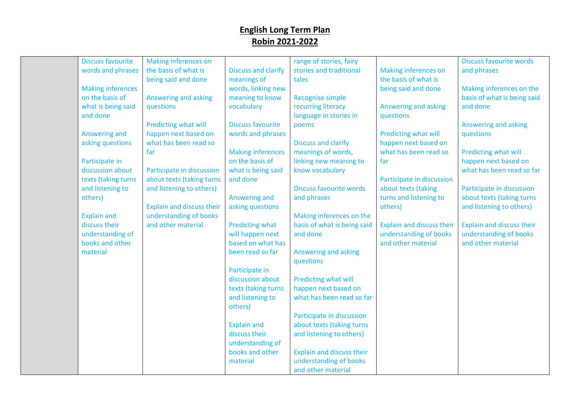| <b>Discuss favourite</b> | Making inferences on             |                            | range of stories, fairy          |                                  | <b>Discuss favourite words</b> |
|--------------------------|----------------------------------|----------------------------|----------------------------------|----------------------------------|--------------------------------|
| words and phrases        | the basis of what is             | <b>Discuss and clarify</b> | stories and traditional          | <b>Making inferences on</b>      | and phrases                    |
|                          | being said and done              | meanings of                | tales                            | the basis of what is             |                                |
| <b>Making inferences</b> |                                  | words, linking new         |                                  | being said and done              | Making inferences on the       |
| on the basis of          | Answering and asking             | meaning to know            | <b>Recognise simple</b>          |                                  | basis of what is being said    |
| what is being said       | questions                        | vocabulary                 | recurring literacy               | Answering and asking             | and done                       |
| and done                 |                                  |                            | language in stories in           | questions                        |                                |
|                          | Predicting what will             | <b>Discuss favourite</b>   | poems                            |                                  | Answering and asking           |
| Answering and            | happen next based on             | words and phrases          |                                  | Predicting what will             | questions                      |
| asking questions         | what has been read so            |                            | <b>Discuss and clarify</b>       | happen next based on             |                                |
|                          | far                              | <b>Making inferences</b>   | meanings of words,               | what has been read so            | Predicting what will           |
| Participate in           |                                  | on the basis of            | linking new meaning to           | far                              | happen next based on           |
| discussion about         | Participate in discussion        | what is being said         | know vocabulary                  |                                  | what has been read so far      |
| texts (taking turns      | about texts (taking turns        | and done                   |                                  | Participate in discussion        |                                |
| and listening to         | and listening to others)         |                            | <b>Discuss favourite words</b>   | about texts (taking              | Participate in discussion      |
| others)                  |                                  | Answering and              | and phrases                      | turns and listening to           | about texts (taking turns      |
|                          | <b>Explain and discuss their</b> | asking questions           |                                  | others)                          | and listening to others)       |
| <b>Explain and</b>       | understanding of books           |                            | Making inferences on the         |                                  |                                |
| discuss their            | and other material               | Predicting what            | basis of what is being said      | <b>Explain and discuss their</b> | Explain and discuss their      |
| understanding of         |                                  | will happen next           | and done                         | understanding of books           | understanding of books         |
| books and other          |                                  | based on what has          |                                  | and other material               | and other material             |
| material                 |                                  | been read so far           | Answering and asking             |                                  |                                |
|                          |                                  |                            | questions                        |                                  |                                |
|                          |                                  | Participate in             |                                  |                                  |                                |
|                          |                                  | discussion about           | Predicting what will             |                                  |                                |
|                          |                                  | texts (taking turns        | happen next based on             |                                  |                                |
|                          |                                  | and listening to           | what has been read so far        |                                  |                                |
|                          |                                  | others)                    |                                  |                                  |                                |
|                          |                                  |                            | Participate in discussion        |                                  |                                |
|                          |                                  | <b>Explain and</b>         | about texts (taking turns        |                                  |                                |
|                          |                                  | discuss their              | and listening to others)         |                                  |                                |
|                          |                                  | understanding of           |                                  |                                  |                                |
|                          |                                  | books and other            | <b>Explain and discuss their</b> |                                  |                                |
|                          |                                  | material                   | understanding of books           |                                  |                                |
|                          |                                  |                            | and other material               |                                  |                                |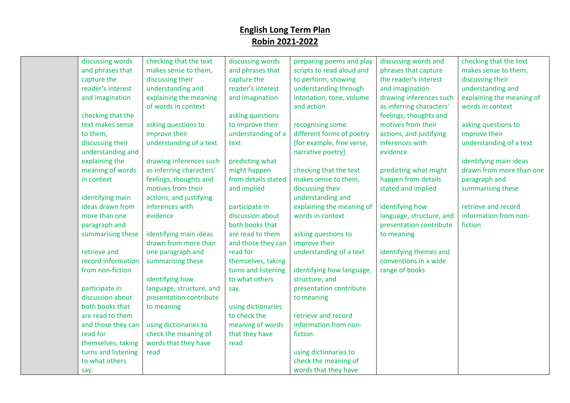| discussing words    | checking that the text   | discussing words    | preparing poems and play  | discussing words and     | checking that the text    |
|---------------------|--------------------------|---------------------|---------------------------|--------------------------|---------------------------|
| and phrases that    | makes sense to them,     | and phrases that    | scripts to read aloud and | phrases that capture     | makes sense to them,      |
| capture the         | discussing their         | capture the         | to perform, showing       | the reader's interest    | discussing their          |
| reader's interest   | understanding and        | reader's interest   | understanding through     | and imagination          | understanding and         |
| and imagination     | explaining the meaning   | and imagination     | intonation, tone, volume  | drawing inferences such  | explaining the meaning of |
|                     | of words in context      |                     | and action                | as inferring characters' | words in context          |
| checking that the   |                          | asking questions    |                           | feelings, thoughts and   |                           |
| text makes sense    | asking questions to      | to improve their    | recognising some          | motives from their       | asking questions to       |
| to them,            | improve their            | understanding of a  | different forms of poetry | actions, and justifying  | improve their             |
| discussing their    | understanding of a text  | text                | [for example, free verse, | inferences with          | understanding of a text   |
| understanding and   |                          |                     | narrative poetry]         | evidence                 |                           |
| explaining the      | drawing inferences such  | predicting what     |                           |                          | identifying main ideas    |
| meaning of words    | as inferring characters' | might happen        | checking that the text    | predicting what might    | drawn from more than one  |
| in context          | feelings, thoughts and   | from details stated | makes sense to them,      | happen from details      | paragraph and             |
|                     | motives from their       | and implied         | discussing their          | stated and implied       | summarising these         |
| identifying main    | actions, and justifying  |                     | understanding and         |                          |                           |
| ideas drawn from    | inferences with          | participate in      | explaining the meaning of | identifying how          | retrieve and record       |
| more than one       | evidence                 | discussion about    | words in context          | language, structure, and | information from non-     |
| paragraph and       |                          | both books that     |                           | presentation contribute  | fiction                   |
| summarising these   | identifying main ideas   | are read to them    | asking questions to       | to meaning               |                           |
|                     | drawn from more than     | and those they can  | improve their             |                          |                           |
| retrieve and        | one paragraph and        | read for            | understanding of a text   | identifying themes and   |                           |
| record information  | summarising these        | themselves, taking  |                           | conventions in a wide    |                           |
| from non-fiction    |                          | turns and listening | identifying how language, | range of books           |                           |
|                     | identifying how          | to what others      | structure, and            |                          |                           |
| participate in      | language, structure, and | say.                | presentation contribute   |                          |                           |
| discussion about    | presentation contribute  |                     | to meaning                |                          |                           |
| both books that     | to meaning               | using dictionaries  |                           |                          |                           |
| are read to them    |                          | to check the        | retrieve and record       |                          |                           |
| and those they can  | using dictionaries to    | meaning of words    | information from non-     |                          |                           |
| read for            | check the meaning of     | that they have      | fiction                   |                          |                           |
| themselves, taking  | words that they have     | read                |                           |                          |                           |
| turns and listening | read                     |                     | using dictionaries to     |                          |                           |
| to what others      |                          |                     | check the meaning of      |                          |                           |
| say.                |                          |                     | words that they have      |                          |                           |